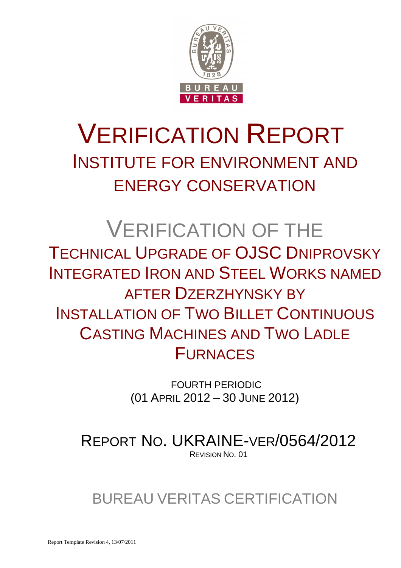

# VERIFICATION REPORT INSTITUTE FOR ENVIRONMENT AND ENERGY CONSERVATION

# VERIFICATION OF THE TECHNICAL UPGRADE OF OJSC DNIPROVSKY INTEGRATED IRON AND STEEL WORKS NAMED AFTER DZERZHYNSKY BY INSTALLATION OF TWO BILLET CONTINUOUS CASTING MACHINES AND TWO LADLE FURNACES

 FOURTH PERIODIC (01 APRIL 2012 – 30 JUNE 2012)

REPORT NO. UKRAINE-VER/0564/2012 REVISION NO. 01

# BUREAU VERITAS CERTIFICATION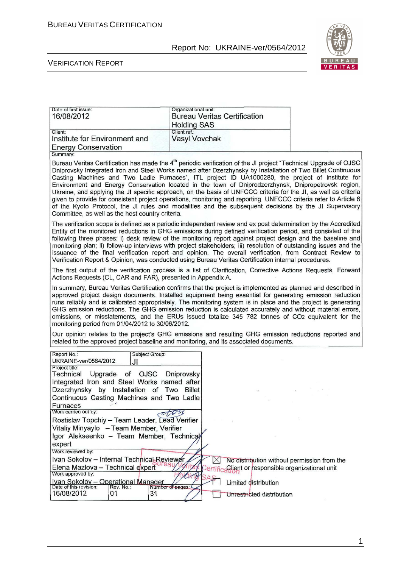

#### VERIFICATION REPORT

| Date of first issue:<br>16/08/2012       | Organizational unit:<br><b>Bureau Veritas Certification</b><br><b>Holding SAS</b> |
|------------------------------------------|-----------------------------------------------------------------------------------|
| Client:<br>Institute for Environment and | Client ref.:<br><b>Vasyl Vovchak</b>                                              |
| <b>Energy Conservation</b>               |                                                                                   |

Summary:

Bureau Veritas Certification has made the 4<sup>th</sup> periodic verification of the JI project "Technical Upgrade of OJSC Dniprovsky Integrated Iron and Steel Works named after Dzerzhynsky by Installation of Two Billet Continuous Casting Machines and Two Ladle Furnaces", ITL project ID UA1000280, the project of Institute for<br>Environment and Energy Conservation located in the town of Dniprodzerzhynsk, Dnipropetrovsk region, Ukraine, and applying the JI specific approach, on the basis of UNFCCC criteria for the JI, as well as criteria given to provide for consistent project operations, monitoring and reporting. UNFCCC criteria refer to Article 6 of the Kyoto Protocol, the JI rules and modalities and the subsequent decisions by the JI Supervisory Committee, as well as the host country criteria.

The verification scope is defined as a periodic independent review and ex post determination by the Accredited Entity of the monitored reductions in GHG emissions during defined verification period, and consisted of the following three phases: i) desk review of the monitoring report against project design and the baseline and monitoring plan; ii) follow-up interviews with project stakeholders; iii) resolution of outstanding issues and the issuance of the final verification report and opinion. The overall verification, from Contract Review to Verification Report & Opinion, was conducted using Bureau Veritas Certification internal procedures.

The first output of the verification process is a list of Clarification. Corrective Actions Requests, Forward Actions Requests (CL, CAR and FAR), presented in Appendix A.

In summary, Bureau Veritas Certification confirms that the project is implemented as planned and described in approved project design documents. Installed equipment being essential for generating emission reduction runs reliably and is calibrated appropriately. The monitoring system is in place and the project is generating GHG emission reductions. The GHG emission reduction is calculated accurately and without material errors. omissions, or misstatements, and the ERUs issued totalize 345 782 tonnes of CO<sub>2</sub> equivalent for the monitoring period from 01/04/2012 to 30/06/2012.

Our opinion relates to the project's GHG emissions and resulting GHG emission reductions reported and related to the approved project baseline and monitoring, and its associated documents.

| Report No.:                                             | Subject Group:             |                                                    |
|---------------------------------------------------------|----------------------------|----------------------------------------------------|
| UKRAINE-ver/0564/2012<br>JI.                            |                            |                                                    |
| Project title:                                          |                            |                                                    |
| Technical                                               | Upgrade of OJSC Dniprovsky |                                                    |
| Integrated Iron and Steel Works named after             |                            |                                                    |
| Dzerzhynsky by Installation of Two                      | <b>Billet</b>              |                                                    |
| Continuous Casting Machines and Two Ladle               |                            |                                                    |
| <b>Furnaces</b>                                         |                            |                                                    |
| Work carried out by:                                    |                            |                                                    |
| Rostislav Topchiy - Team Leader, Lead Verifier          |                            |                                                    |
| Vitaliy Minyaylo - Team Member, Verifier                |                            |                                                    |
| Igor Alekseenko - Team Member, Technical                |                            |                                                    |
| expert                                                  |                            |                                                    |
| Work reviewed by:                                       |                            |                                                    |
| Ivan Sokolov - Internal Technical Reviewer              |                            | No distribution without permission from the        |
| Elena Mazlova - Technical expert                        |                            | Certific Client or responsible organizational unit |
| Work approved by:                                       |                            |                                                    |
| Ivan Sokolov - Operational Manager                      |                            | Limited distribution                               |
| Date of this revision:<br>Rev. No.:<br>16/08/2012<br>01 | Number of pages:<br>31     |                                                    |
|                                                         |                            | Unrestricted distribution                          |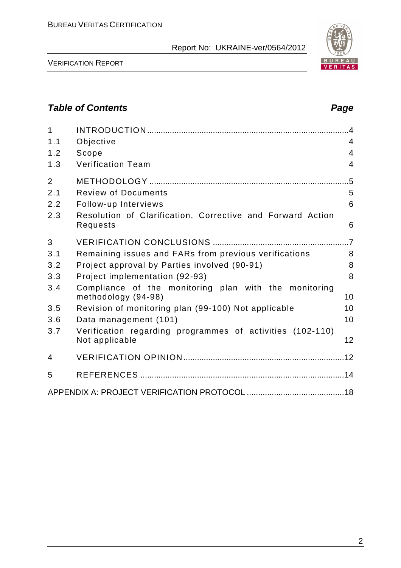| 1<br>1.1       | Objective                                                                    | 4               |
|----------------|------------------------------------------------------------------------------|-----------------|
| 1.2            | Scope                                                                        | $\overline{4}$  |
| 1.3            | <b>Verification Team</b>                                                     | $\overline{4}$  |
| $\overline{2}$ |                                                                              | $.5\,$          |
| 2.1            | <b>Review of Documents</b>                                                   | 5               |
| 2.2            | Follow-up Interviews                                                         | 6               |
| 2.3            | Resolution of Clarification, Corrective and Forward Action<br>Requests       | 6               |
| 3              |                                                                              | $\overline{.7}$ |
| 3.1            | Remaining issues and FARs from previous verifications                        | 8               |
| 3.2            | Project approval by Parties involved (90-91)                                 | 8               |
| 3.3            | Project implementation (92-93)                                               | 8               |
| 3.4            | Compliance of the monitoring plan with the monitoring<br>methodology (94-98) | 10              |
| 3.5            | Revision of monitoring plan (99-100) Not applicable                          | 10              |
| 3.6            | Data management (101)                                                        | 10              |
| 3.7            | Verification regarding programmes of activities (102-110)<br>Not applicable  | 12              |
| 4              |                                                                              |                 |
| 5              |                                                                              |                 |
|                |                                                                              |                 |

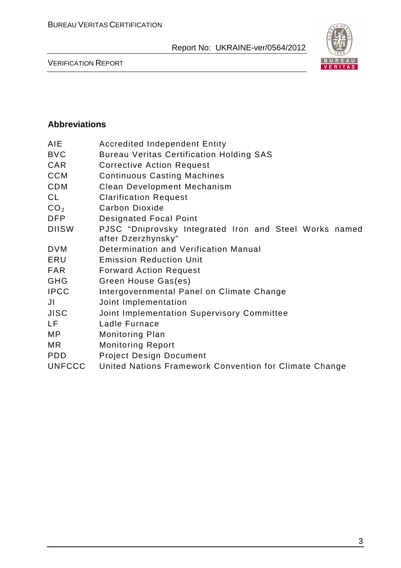

VERIFICATION REPORT

#### **Abbreviations**

| <b>Accredited Independent Entity</b>                                         |
|------------------------------------------------------------------------------|
| <b>Bureau Veritas Certification Holding SAS</b>                              |
| <b>Corrective Action Request</b>                                             |
| <b>Continuous Casting Machines</b>                                           |
| Clean Development Mechanism                                                  |
| <b>Clarification Request</b>                                                 |
| <b>Carbon Dioxide</b>                                                        |
| <b>Designated Focal Point</b>                                                |
| PJSC "Dniprovsky Integrated Iron and Steel Works named<br>after Dzerzhynsky" |
| Determination and Verification Manual                                        |
| <b>Emission Reduction Unit</b>                                               |
| <b>Forward Action Request</b>                                                |
| Green House Gas(es)                                                          |
| Intergovernmental Panel on Climate Change                                    |
| Joint Implementation                                                         |
| Joint Implementation Supervisory Committee                                   |
| Ladle Furnace                                                                |
| <b>Monitoring Plan</b>                                                       |
| <b>Monitoring Report</b>                                                     |
| <b>Project Design Document</b>                                               |
| United Nations Framework Convention for Climate Change                       |
|                                                                              |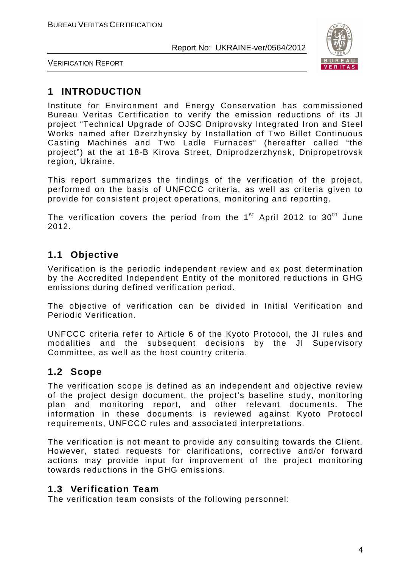

VERIFICATION REPORT

# **1 INTRODUCTION**

Institute for Environment and Energy Conservation has commissioned Bureau Veritas Certification to verify the emission reductions of its JI project "Technical Upgrade of OJSC Dniprovsky Integrated Iron and Steel Works named after Dzerzhynsky by Installation of Two Billet Continuous Casting Machines and Two Ladle Furnaces" (hereafter called "the project") at the at 18-B Kirova Street, Dniprodzerzhynsk, Dnipropetrovsk region, Ukraine.

This report summarizes the findings of the verification of the project, performed on the basis of UNFCCC criteria, as well as criteria given to provide for consistent project operations, monitoring and reporting.

The verification covers the period from the  $1<sup>st</sup>$  April 2012 to 30<sup>th</sup> June 2012.

# **1.1 Objective**

Verification is the periodic independent review and ex post determination by the Accredited Independent Entity of the monitored reductions in GHG emissions during defined verification period.

The objective of verification can be divided in Initial Verification and Periodic Verification.

UNFCCC criteria refer to Article 6 of the Kyoto Protocol, the JI rules and modalities and the subsequent decisions by the JI Supervisory Committee, as well as the host country criteria.

# **1.2 Scope**

The verification scope is defined as an independent and objective review of the project design document, the project's baseline study, monitoring plan and monitoring report, and other relevant documents. The information in these documents is reviewed against Kyoto Protocol requirements, UNFCCC rules and associated interpretations.

The verification is not meant to provide any consulting towards the Client. However, stated requests for clarifications, corrective and/or forward actions may provide input for improvement of the project monitoring towards reductions in the GHG emissions.

# **1.3 Verification Team**

The verification team consists of the following personnel: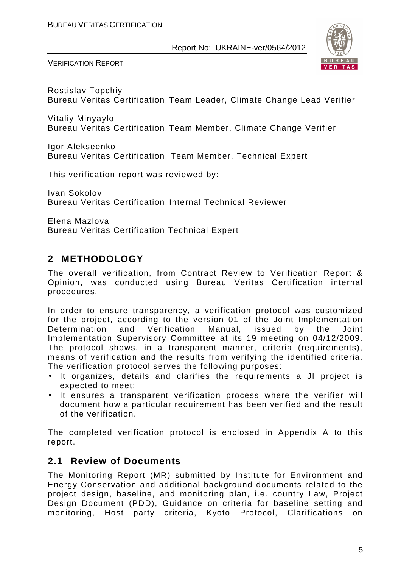

VERIFICATION REPORT

Rostislav Topchiy Bureau Veritas Certification, Team Leader, Climate Change Lead Verifier

Vitaliy Minyaylo Bureau Veritas Certification, Team Member, Climate Change Verifier

Igor Alekseenko Bureau Veritas Certification, Team Member, Technical Expert

This verification report was reviewed by:

Ivan Sokolov Bureau Veritas Certification, Internal Technical Reviewer

Elena Mazlova Bureau Veritas Certification Technical Expert

# **2 METHODOLOGY**

The overall verification, from Contract Review to Verification Report & Opinion, was conducted using Bureau Veritas Certification internal procedures.

In order to ensure transparency, a verification protocol was customized for the project, according to the version 01 of the Joint Implementation Determination and Verification Manual, issued by the Joint Implementation Supervisory Committee at its 19 meeting on 04/12/2009. The protocol shows, in a transparent manner, criteria (requirements), means of verification and the results from verifying the identified criteria. The verification protocol serves the following purposes:

- It organizes, details and clarifies the requirements a JI project is expected to meet;
- It ensures a transparent verification process where the verifier will document how a particular requirement has been verified and the result of the verification.

The completed verification protocol is enclosed in Appendix A to this report.

# **2.1 Review of Documents**

The Monitoring Report (MR) submitted by Institute for Environment and Energy Conservation and additional background documents related to the project design, baseline, and monitoring plan, i.e. country Law, Project Design Document (PDD), Guidance on criteria for baseline setting and monitoring, Host party criteria, Kyoto Protocol, Clarifications on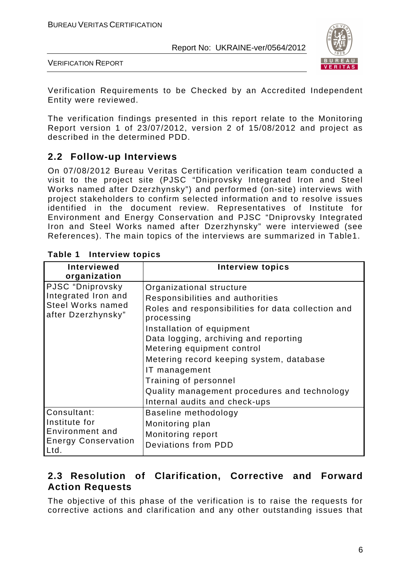

VERIFICATION REPORT

Verification Requirements to be Checked by an Accredited Independent Entity were reviewed.

The verification findings presented in this report relate to the Monitoring Report version 1 of 23/07/2012, version 2 of 15/08/2012 and project as described in the determined PDD.

# **2.2 Follow-up Interviews**

On 07/08/2012 Bureau Veritas Certification verification team conducted a visit to the project site (PJSC "Dniprovsky Integrated Iron and Steel Works named after Dzerzhynsky") and performed (on-site) interviews with project stakeholders to confirm selected information and to resolve issues identified in the document review. Representatives of Institute for Environment and Energy Conservation and PJSC "Dniprovsky Integrated Iron and Steel Works named after Dzerzhynsky" were interviewed (see References). The main topics of the interviews are summarized in Table1.

| <b>Interviewed</b>                 | <b>Interview topics</b>                            |
|------------------------------------|----------------------------------------------------|
| organization                       |                                                    |
|                                    |                                                    |
| PJSC "Dniprovsky                   | Organizational structure                           |
| Integrated Iron and                | Responsibilities and authorities                   |
| <b>Steel Works named</b>           | Roles and responsibilities for data collection and |
| after Dzerzhynsky"                 | processing                                         |
|                                    | Installation of equipment                          |
|                                    | Data logging, archiving and reporting              |
|                                    | Metering equipment control                         |
|                                    | Metering record keeping system, database           |
|                                    | IT management                                      |
|                                    | Training of personnel                              |
|                                    | Quality management procedures and technology       |
|                                    | Internal audits and check-ups                      |
| Consultant:                        | Baseline methodology                               |
| Institute for                      | Monitoring plan                                    |
| Environment and                    | Monitoring report                                  |
| <b>Energy Conservation</b><br>Ltd. | Deviations from PDD                                |

#### **Table 1 Interview topics**

# **2.3 Resolution of Clarification, Corrective and Forward Action Requests**

The objective of this phase of the verification is to raise the requests for corrective actions and clarification and any other outstanding issues that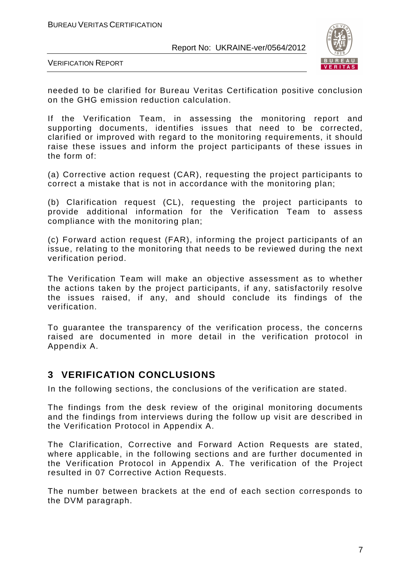

VERIFICATION REPORT

needed to be clarified for Bureau Veritas Certification positive conclusion on the GHG emission reduction calculation.

If the Verification Team, in assessing the monitoring report and supporting documents, identifies issues that need to be corrected, clarified or improved with regard to the monitoring requirements, it should raise these issues and inform the project participants of these issues in the form of:

(a) Corrective action request (CAR), requesting the project participants to correct a mistake that is not in accordance with the monitoring plan;

(b) Clarification request (CL), requesting the project participants to provide additional information for the Verification Team to assess compliance with the monitoring plan;

(c) Forward action request (FAR), informing the project participants of an issue, relating to the monitoring that needs to be reviewed during the next verification period.

The Verification Team will make an objective assessment as to whether the actions taken by the project participants, if any, satisfactorily resolve the issues raised, if any, and should conclude its findings of the verification.

To guarantee the transparency of the verification process, the concerns raised are documented in more detail in the verification protocol in Appendix A.

# **3 VERIFICATION CONCLUSIONS**

In the following sections, the conclusions of the verification are stated.

The findings from the desk review of the original monitoring documents and the findings from interviews during the follow up visit are described in the Verification Protocol in Appendix A.

The Clarification, Corrective and Forward Action Requests are stated, where applicable, in the following sections and are further documented in the Verification Protocol in Appendix A. The verification of the Project resulted in 07 Corrective Action Requests.

The number between brackets at the end of each section corresponds to the DVM paragraph.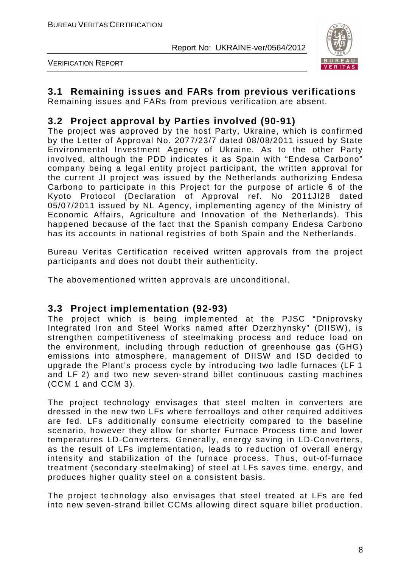

VERIFICATION REPORT

# **3.1 Remaining issues and FARs from previous verifications**

Remaining issues and FARs from previous verification are absent.

# **3.2 Project approval by Parties involved (90-91)**

The project was approved by the host Party, Ukraine, which is confirmed by the Letter of Approval No. 2077/23/7 dated 08/08/2011 issued by State Environmental Investment Agency of Ukraine. As to the other Party involved, although the PDD indicates it as Spain with "Endesa Carbono" company being a legal entity project participant, the written approval for the current JI project was issued by the Netherlands authorizing Endesa Carbono to participate in this Project for the purpose of article 6 of the Kyoto Protocol (Declaration of Approval ref. No 2011JI28 dated 05/07/2011 issued by NL Agency, implementing agency of the Ministry of Economic Affairs, Agriculture and Innovation of the Netherlands). This happened because of the fact that the Spanish company Endesa Carbono has its accounts in national registries of both Spain and the Netherlands.

Bureau Veritas Certification received written approvals from the project participants and does not doubt their authenticity.

The abovementioned written approvals are unconditional.

#### **3.3 Project implementation (92-93)**

The project which is being implemented at the PJSC "Dniprovsky Integrated Iron and Steel Works named after Dzerzhynsky" (DIISW), is strengthen competitiveness of steelmaking process and reduce load on the environment, including through reduction of greenhouse gas (GHG) emissions into atmosphere, management of DIISW and ISD decided to upgrade the Plant's process cycle by introducing two ladle furnaces (LF 1 and LF 2) and two new seven-strand billet continuous casting machines (CCM 1 and CCM 3).

The project technology envisages that steel molten in converters are dressed in the new two LFs where ferroalloys and other required additives are fed. LFs additionally consume electricity compared to the baseline scenario, however they allow for shorter Furnace Process time and lower temperatures LD-Converters. Generally, energy saving in LD-Converters, as the result of LFs implementation, leads to reduction of overall energy intensity and stabilization of the furnace process. Thus, out-of-furnace treatment (secondary steelmaking) of steel at LFs saves time, energy, and produces higher quality steel on a consistent basis.

The project technology also envisages that steel treated at LFs are fed into new seven-strand billet CCMs allowing direct square billet production.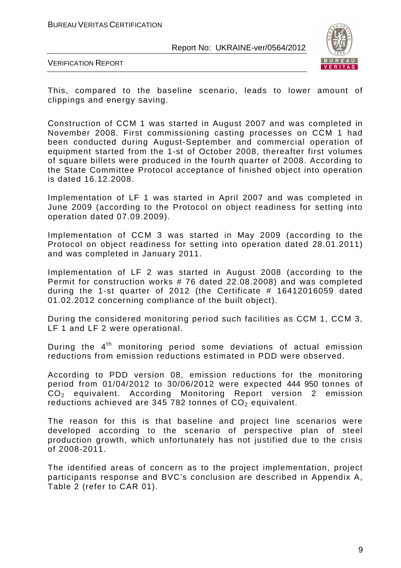

VERIFICATION REPORT

This, compared to the baseline scenario, leads to lower amount of clippings and energy saving.

Сonstruction of CCM 1 was started in August 2007 and was completed in November 2008. First commissioning casting processes on CCM 1 had been conducted during August-September and commercial operation of equipment started from the 1-st of October 2008, thereafter first volumes of square billets were produced in the fourth quarter of 2008. According to the State Committee Protocol acceptance of finished object into operation is dated 16.12.2008.

Implementation of LF 1 was started in April 2007 and was completed in June 2009 (according to the Protocol on object readiness for setting into operation dated 07.09.2009).

Implementation of CCM 3 was started in May 2009 (according to the Protocol on object readiness for setting into operation dated 28.01.2011) and was completed in January 2011.

Implementation of LF 2 was started in August 2008 (according to the Permit for construction works # 76 dated 22.08.2008) and was completed during the 1-st quarter of 2012 (the Certificate # 16412016059 dated 01.02.2012 concerning compliance of the built object).

During the considered monitoring period such facilities as CCM 1, CCM 3, LF 1 and LF 2 were operational.

During the 4<sup>th</sup> monitoring period some deviations of actual emission reductions from emission reductions estimated in PDD were observed.

According to PDD version 08, emission reductions for the monitoring period from 01/04/2012 to 30/06/2012 were expected 444 950 tonnes of CO2 equivalent. According Monitoring Report version 2 emission reductions achieved are 345 782 tonnes of  $CO<sub>2</sub>$  equivalent.

The reason for this is that baseline and project line scenarios were developed according to the scenario of perspective plan of steel production growth, which unfortunately has not justified due to the crisis of 2008-2011.

The identified areas of concern as to the project implementation, project participants response and BVC's conclusion are described in Appendix A, Table 2 (refer to CAR 01).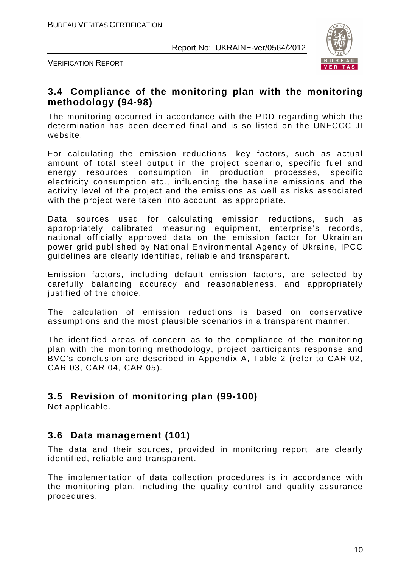

VERIFICATION REPORT

# **3.4 Compliance of the monitoring plan with the monitoring methodology (94-98)**

The monitoring occurred in accordance with the PDD regarding which the determination has been deemed final and is so listed on the UNFCCC JI website.

For calculating the emission reductions, key factors, such as actual amount of total steel output in the project scenario, specific fuel and energy resources consumption in production processes, specific electricity consumption etc., influencing the baseline emissions and the activity level of the project and the emissions as well as risks associated with the project were taken into account, as appropriate.

Data sources used for calculating emission reductions, such as appropriately calibrated measuring equipment, enterprise's records, national officially approved data on the emission factor for Ukrainian power grid published by National Environmental Agency of Ukraine, IPCC guidelines are clearly identified, reliable and transparent.

Emission factors, including default emission factors, are selected by carefully balancing accuracy and reasonableness, and appropriately justified of the choice.

The calculation of emission reductions is based on conservative assumptions and the most plausible scenarios in a transparent manner.

The identified areas of concern as to the compliance of the monitoring plan with the monitoring methodology, project participants response and BVC's conclusion are described in Appendix A, Table 2 (refer to CAR 02, CAR 03, CAR 04, CAR 05).

# **3.5 Revision of monitoring plan (99-100)**

Not applicable.

# **3.6 Data management (101)**

The data and their sources, provided in monitoring report, are clearly identified, reliable and transparent.

The implementation of data collection procedures is in accordance with the monitoring plan, including the quality control and quality assurance procedures.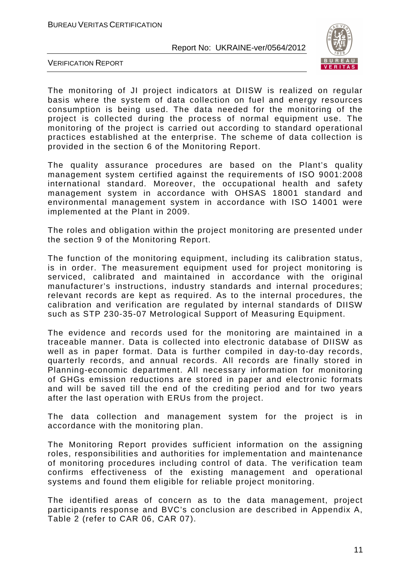

VERIFICATION REPORT

The monitoring of JI project indicators at DIISW is realized on regular basis where the system of data collection on fuel and energy resources consumption is being used. The data needed for the monitoring of the project is collected during the process of normal equipment use. The monitoring of the project is carried out according to standard operational practices established at the enterprise. The scheme of data collection is provided in the section 6 of the Monitoring Report.

The quality assurance procedures are based on the Plant's quality management system certified against the requirements of ISО 9001:2008 international standard. Moreover, the occupational health and safety management system in accordance with OHSAS 18001 standard and environmental management system in accordance with ISO 14001 were implemented at the Plant in 2009.

The roles and obligation within the project monitoring are presented under the section 9 of the Monitoring Report.

The function of the monitoring equipment, including its calibration status, is in order. The measurement equipment used for project monitoring is serviced, calibrated and maintained in accordance with the original manufacturer's instructions, industry standards and internal procedures; relevant records are kept as required. As to the internal procedures, the calibration and verification are regulated by internal standards of DIISW such as STP 230-35-07 Metrological Support of Measuring Equipment.

The evidence and records used for the monitoring are maintained in a traceable manner. Data is collected into electronic database of DIISW as well as in paper format. Data is further compiled in day-to-day records, quarterly records, and annual records. All records are finally stored in Planning-economic department. All necessary information for monitoring of GHGs emission reductions are stored in paper and electronic formats and will be saved till the end of the crediting period and for two years after the last operation with ERUs from the project.

The data collection and management system for the project is in accordance with the monitoring plan.

The Monitoring Report provides sufficient information on the assigning roles, responsibilities and authorities for implementation and maintenance of monitoring procedures including control of data. The verification team confirms effectiveness of the existing management and operational systems and found them eligible for reliable project monitoring.

The identified areas of concern as to the data management, project participants response and BVC's conclusion are described in Appendix A, Table 2 (refer to CAR 06, CAR 07).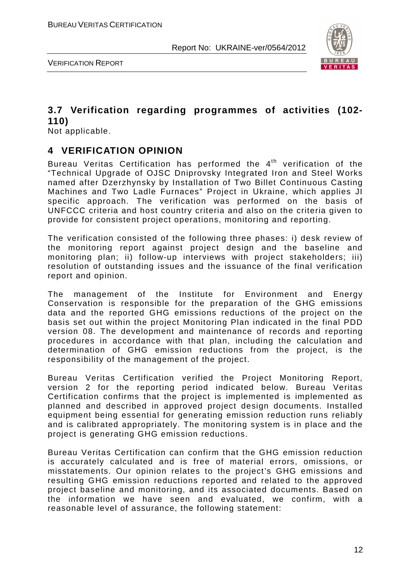

VERIFICATION REPORT

# **3.7 Verification regarding programmes of activities (102- 110)**

Not applicable.

# **4 VERIFICATION OPINION**

Bureau Veritas Certification has performed the  $4<sup>th</sup>$  verification of the "Technical Upgrade of OJSC Dniprovsky Integrated Iron and Steel Works named after Dzerzhynsky by Installation of Two Billet Continuous Casting Machines and Two Ladle Furnaces" Project in Ukraine, which applies JI specific approach. The verification was performed on the basis of UNFCCC criteria and host country criteria and also on the criteria given to provide for consistent project operations, monitoring and reporting.

The verification consisted of the following three phases: i) desk review of the monitoring report against project design and the baseline and monitoring plan; ii) follow-up interviews with project stakeholders; iii) resolution of outstanding issues and the issuance of the final verification report and opinion.

The management of the Institute for Environment and Energy Conservation is responsible for the preparation of the GHG emissions data and the reported GHG emissions reductions of the project on the basis set out within the project Monitoring Plan indicated in the final PDD version 08. The development and maintenance of records and reporting procedures in accordance with that plan, including the calculation and determination of GHG emission reductions from the project, is the responsibility of the management of the project.

Bureau Veritas Certification verified the Project Monitoring Report, version 2 for the reporting period indicated below. Bureau Veritas Certification confirms that the project is implemented is implemented as planned and described in approved project design documents. Installed equipment being essential for generating emission reduction runs reliably and is calibrated appropriately. The monitoring system is in place and the project is generating GHG emission reductions.

Bureau Veritas Certification can confirm that the GHG emission reduction is accurately calculated and is free of material errors, omissions, or misstatements. Our opinion relates to the project's GHG emissions and resulting GHG emission reductions reported and related to the approved project baseline and monitoring, and its associated documents. Based on the information we have seen and evaluated, we confirm, with a reasonable level of assurance, the following statement: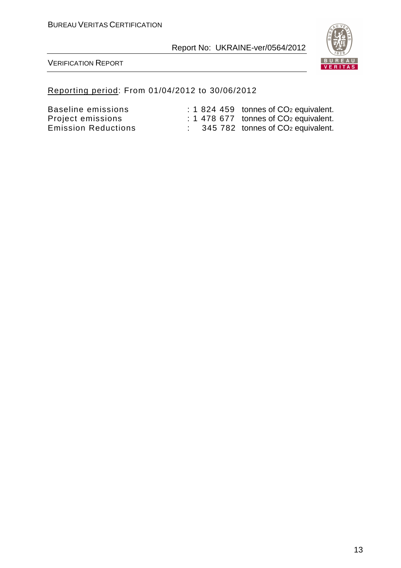

VERIFICATION REPORT

#### Reporting period: From 01/04/2012 to 30/06/2012

Baseline emissions : 1 824 459 tonnes of CO<sub>2</sub> equivalent. Project emissions : 1 478 677 tonnes of CO<sub>2</sub> equivalent.

Emission Reductions : 345 782 tonnes of CO<sub>2</sub> equivalent.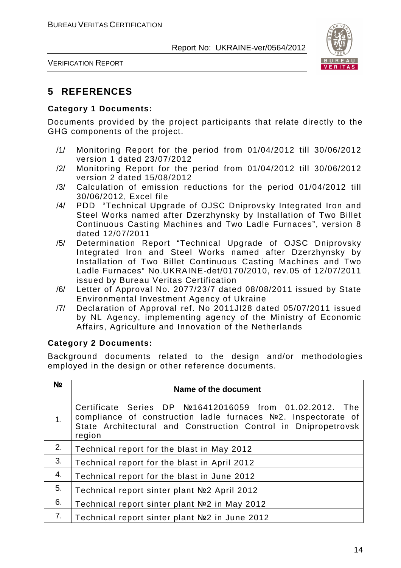

VERIFICATION REPORT

# **5 REFERENCES**

#### **Category 1 Documents:**

Documents provided by the project participants that relate directly to the GHG components of the project.

- /1/ Monitoring Report for the period from 01/04/2012 till 30/06/2012 version 1 dated 23/07/2012
- /2/ Monitoring Report for the period from 01/04/2012 till 30/06/2012 version 2 dated 15/08/2012
- /3/ Calculation of emission reductions for the period 01/04/2012 till 30/06/2012, Excel file
- /4/ PDD "Technical Upgrade of OJSC Dniprovsky Integrated Iron and Steel Works named after Dzerzhynsky by Installation of Two Billet Continuous Casting Machines and Two Ladle Furnaces", version 8 dated 12/07/2011
- /5/ Determination Report "Technical Upgrade of OJSC Dniprovsky Integrated Iron and Steel Works named after Dzerzhynsky by Installation of Two Billet Continuous Casting Machines and Two Ladle Furnaces" No.UKRAINE-det/0170/2010, rev.05 of 12/07/2011 issued by Bureau Veritas Certification
- /6/ Letter of Approval No. 2077/23/7 dated 08/08/2011 issued by State Environmental Investment Agency of Ukraine
- /7/ Declaration of Approval ref. No 2011JI28 dated 05/07/2011 issued by NL Agency, implementing agency of the Ministry of Economic Affairs, Agriculture and Innovation of the Netherlands

#### **Category 2 Documents:**

Background documents related to the design and/or methodologies employed in the design or other reference documents.

| N <sub>2</sub> | Name of the document                                                                                                                                                                                  |
|----------------|-------------------------------------------------------------------------------------------------------------------------------------------------------------------------------------------------------|
| 1.             | Certificate Series DP №16412016059 from 01.02.2012. The<br>compliance of construction ladle furnaces Nº2. Inspectorate of<br>State Architectural and Construction Control in Dnipropetrovsk<br>region |
| 2.             | Technical report for the blast in May 2012                                                                                                                                                            |
| 3.             | Technical report for the blast in April 2012                                                                                                                                                          |
| 4.             | Technical report for the blast in June 2012                                                                                                                                                           |
| 5.             | Technical report sinter plant №2 April 2012                                                                                                                                                           |
| 6.             | Technical report sinter plant Nº2 in May 2012                                                                                                                                                         |
| 7.             | Technical report sinter plant Nº2 in June 2012                                                                                                                                                        |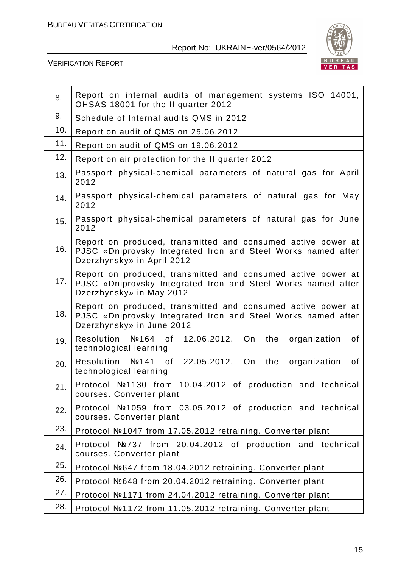

| 8.  | Report on internal audits of management systems ISO 14001,<br>OHSAS 18001 for the II quarter 2012                                                          |
|-----|------------------------------------------------------------------------------------------------------------------------------------------------------------|
| 9.  | Schedule of Internal audits QMS in 2012                                                                                                                    |
| 10. | Report on audit of QMS on 25.06.2012                                                                                                                       |
| 11. | Report on audit of QMS on 19.06.2012                                                                                                                       |
| 12. | Report on air protection for the II quarter 2012                                                                                                           |
| 13. | Passport physical-chemical parameters of natural gas for April<br>2012                                                                                     |
| 14. | Passport physical-chemical parameters of natural gas for May<br>2012                                                                                       |
| 15. | Passport physical-chemical parameters of natural gas for June<br>2012                                                                                      |
| 16. | Report on produced, transmitted and consumed active power at<br>PJSC «Dniprovsky Integrated Iron and Steel Works named after<br>Dzerzhynsky» in April 2012 |
| 17. | Report on produced, transmitted and consumed active power at<br>PJSC «Dniprovsky Integrated Iron and Steel Works named after<br>Dzerzhynsky» in May 2012   |
| 18. | Report on produced, transmitted and consumed active power at<br>PJSC «Dniprovsky Integrated Iron and Steel Works named after<br>Dzerzhynsky» in June 2012  |
| 19. | Resolution №164 of<br>12.06.2012. On<br>the<br>organization<br>of<br>technological learning                                                                |
| 20. | Resolution Nº141 of 22.05.2012. On<br>the<br>organization<br>of<br>technological learning                                                                  |
| 21. | Protocol №1130 from 10.04.2012 of production and technical<br>courses. Converter plant                                                                     |
| 22. | Protocol №1059 from 03.05.2012 of production and technical<br>courses. Converter plant                                                                     |
| 23. | Protocol №1047 from 17.05.2012 retraining. Converter plant                                                                                                 |
| 24. | $N2737$ from 20.04.2012 of production and technical<br>Protocol<br>courses. Converter plant                                                                |
| 25. | Protocol №647 from 18.04.2012 retraining. Converter plant                                                                                                  |
| 26. | Protocol №648 from 20.04.2012 retraining. Converter plant                                                                                                  |
| 27. | Protocol №1171 from 24.04.2012 retraining. Converter plant                                                                                                 |
| 28. | Protocol №1172 from 11.05.2012 retraining. Converter plant                                                                                                 |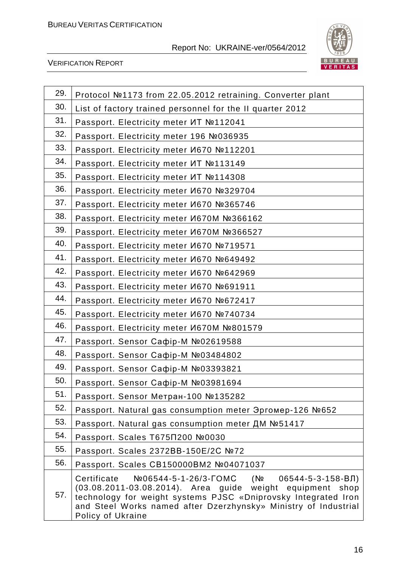

| 29. | Protocol №1173 from 22.05.2012 retraining. Converter plant                                                                                                                                                                                                                           |
|-----|--------------------------------------------------------------------------------------------------------------------------------------------------------------------------------------------------------------------------------------------------------------------------------------|
| 30. | List of factory trained personnel for the II quarter 2012                                                                                                                                                                                                                            |
| 31. | Passport. Electricity meter MT №112041                                                                                                                                                                                                                                               |
| 32. | Passport. Electricity meter 196 №036935                                                                                                                                                                                                                                              |
| 33. | Passport. Electricity meter И670 №112201                                                                                                                                                                                                                                             |
| 34. | Passport. Electricity meter ИТ №113149                                                                                                                                                                                                                                               |
| 35. | Passport. Electricity meter <i>MT</i> №114308                                                                                                                                                                                                                                        |
| 36. | Passport. Electricity meter И670 №329704                                                                                                                                                                                                                                             |
| 37. | Passport. Electricity meter И670 №365746                                                                                                                                                                                                                                             |
| 38. | Passport. Electricity meter <i>V</i> 670M №366162                                                                                                                                                                                                                                    |
| 39. | Passport. Electricity meter <i>V</i> 670M №366527                                                                                                                                                                                                                                    |
| 40. | Passport. Electricity meter И670 №719571                                                                                                                                                                                                                                             |
| 41. | Passport. Electricity meter И670 №649492                                                                                                                                                                                                                                             |
| 42. | Passport. Electricity meter И670 №642969                                                                                                                                                                                                                                             |
| 43. | Passport. Electricity meter И670 №691911                                                                                                                                                                                                                                             |
| 44. | Passport. Electricity meter И670 №672417                                                                                                                                                                                                                                             |
| 45. | Passport. Electricity meter И670 №740734                                                                                                                                                                                                                                             |
| 46. | Passport. Electricity meter <i>V</i> 670M №801579                                                                                                                                                                                                                                    |
| 47. | Passport. Sensor Caфip-M №02619588                                                                                                                                                                                                                                                   |
| 48. | Passport. Sensor Caфip-M Nº03484802                                                                                                                                                                                                                                                  |
| 49. | Passport. Sensor Caфip-M №03393821                                                                                                                                                                                                                                                   |
| 50. | Passport. Sensor Caфip-M №03981694                                                                                                                                                                                                                                                   |
| 51. | Passport. Sensor Метран-100 №135282                                                                                                                                                                                                                                                  |
| 52. | Passport. Natural gas consumption meter Эргомер-126 №652                                                                                                                                                                                                                             |
| 53. | Passport. Natural gas consumption meter ДМ №51417                                                                                                                                                                                                                                    |
| 54. | Passport. Scales T675∏200 №0030                                                                                                                                                                                                                                                      |
| 55. | Passport. Scales 2372BB-150E/2C №72                                                                                                                                                                                                                                                  |
| 56. | Passport. Scales CB150000BM2 №04071037                                                                                                                                                                                                                                               |
| 57. | Certificate<br>№06544-5-1-26/3-ГОМС<br>$(N2$ 06544-5-3-158-BJ<br>(03.08.2011-03.08.2014). Area guide weight equipment shop<br>technology for weight systems PJSC «Dniprovsky Integrated Iron<br>and Steel Works named after Dzerzhynsky» Ministry of Industrial<br>Policy of Ukraine |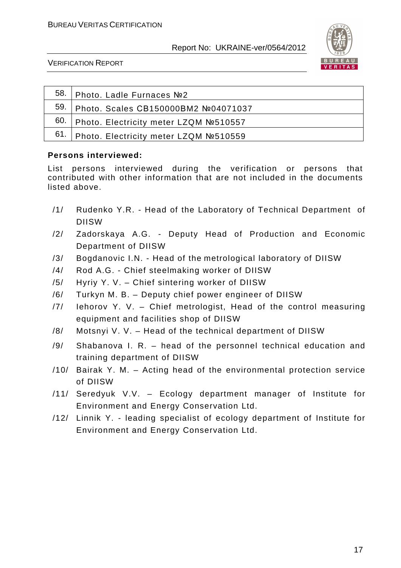

VERIFICATION REPORT

| <sup>58.</sup> Photo. Ladle Furnaces №2      |
|----------------------------------------------|
| 59. Photo. Scales CB150000BM2 Nº04071037     |
| 60.   Photo. Electricity meter LZQM Nº510557 |
| 61.   Photo. Electricity meter LZQM №510559  |

#### **Persons interviewed:**

List persons interviewed during the verification or persons that contributed with other information that are not included in the documents listed above.

- /1/ Rudenko Y.R. Head of the Laboratory of Technical Department of DIISW
- /2/ Zadorskaya A.G. Deputy Head of Production and Economic Department of DIISW
- /3/ Bogdanovic I.N. Head of the metrological laboratory of DIISW
- /4/ Rod A.G. Chief steelmaking worker of DIISW
- /5/ Hyriy Y. V. Chief sintering worker of DIISW
- /6/ Turkyn M. B. Deputy chief power engineer of DIISW
- /7/ Iehorov Y. V. Chief metrologist, Head of the control measuring equipment and facilities shop of DIISW
- /8/ Motsnyi V. V. Head of the technical department of DIISW
- /9/ Shabanova I. R. head of the personnel technical education and training department of DIISW
- /10/ Bairak Y. M. Acting head of the environmental protection service of DIISW
- /11/ Seredyuk V.V. Ecology department manager of Institute for Environment and Energy Conservation Ltd.
- /12/ Linnik Y. leading specialist of ecology department of Institute for Environment and Energy Conservation Ltd.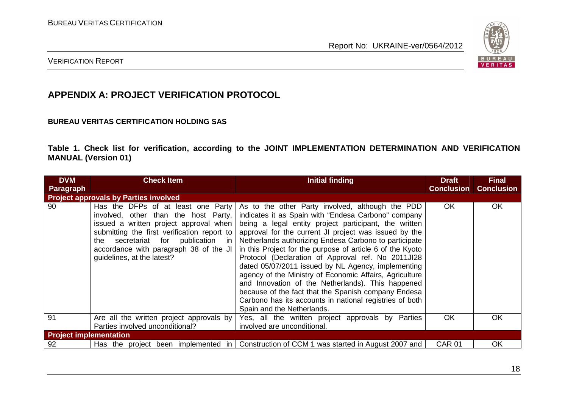

#### VERIFICATION REPORT

# **APPENDIX A: PROJECT VERIFICATION PROTOCOL**

#### **BUREAU VERITAS CERTIFICATION HOLDING SAS**

**Table 1. Check list for verification, according to the JOINT IMPLEMENTATION DETERMINATION AND VERIFICATION MANUAL (Version 01)** 

| <b>DVM</b><br><b>Paragraph</b> | <b>Check Item</b>                                                                                                                                                                                                                                                                 | <b>Initial finding</b>                                                                                                                                                                                                                                                                                                                                                                                                                                                                                                                                                                                                                                                                                                      | <b>Draft</b><br><b>Conclusion</b> | <b>Final</b><br><b>Conclusion</b> |  |
|--------------------------------|-----------------------------------------------------------------------------------------------------------------------------------------------------------------------------------------------------------------------------------------------------------------------------------|-----------------------------------------------------------------------------------------------------------------------------------------------------------------------------------------------------------------------------------------------------------------------------------------------------------------------------------------------------------------------------------------------------------------------------------------------------------------------------------------------------------------------------------------------------------------------------------------------------------------------------------------------------------------------------------------------------------------------------|-----------------------------------|-----------------------------------|--|
|                                | <b>Project approvals by Parties involved</b>                                                                                                                                                                                                                                      |                                                                                                                                                                                                                                                                                                                                                                                                                                                                                                                                                                                                                                                                                                                             |                                   |                                   |  |
| 90                             | Has the DFPs of at least one Party<br>involved, other than the host Party,<br>issued a written project approval when<br>submitting the first verification report to<br>the secretariat for publication in<br>accordance with paragraph 38 of the JI<br>guidelines, at the latest? | As to the other Party involved, although the PDD<br>indicates it as Spain with "Endesa Carbono" company<br>being a legal entity project participant, the written<br>approval for the current JI project was issued by the<br>Netherlands authorizing Endesa Carbono to participate<br>in this Project for the purpose of article 6 of the Kyoto<br>Protocol (Declaration of Approval ref. No 2011JI28<br>dated 05/07/2011 issued by NL Agency, implementing<br>agency of the Ministry of Economic Affairs, Agriculture<br>and Innovation of the Netherlands). This happened<br>because of the fact that the Spanish company Endesa<br>Carbono has its accounts in national registries of both<br>Spain and the Netherlands. | OK.                               | <b>OK</b>                         |  |
| 91                             | Are all the written project approvals by<br>Parties involved unconditional?                                                                                                                                                                                                       | Yes, all the written project approvals by Parties<br>involved are unconditional.                                                                                                                                                                                                                                                                                                                                                                                                                                                                                                                                                                                                                                            | <b>OK</b>                         | OK                                |  |
| <b>Project implementation</b>  |                                                                                                                                                                                                                                                                                   |                                                                                                                                                                                                                                                                                                                                                                                                                                                                                                                                                                                                                                                                                                                             |                                   |                                   |  |
| 92                             | Has the project been implemented in                                                                                                                                                                                                                                               | Construction of CCM 1 was started in August 2007 and                                                                                                                                                                                                                                                                                                                                                                                                                                                                                                                                                                                                                                                                        | <b>CAR 01</b>                     | OK                                |  |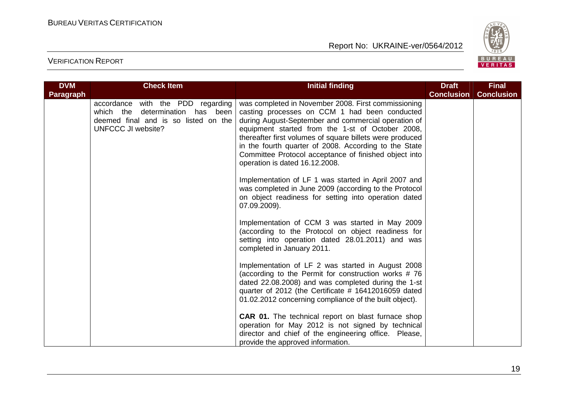

| <b>DVM</b>       | <b>Check Item</b>                                                                                                                             | <b>Initial finding</b>                                                                                                                                                                                                                                                                                                                                                                                                          | <b>Draft</b>      | <b>Final</b>      |
|------------------|-----------------------------------------------------------------------------------------------------------------------------------------------|---------------------------------------------------------------------------------------------------------------------------------------------------------------------------------------------------------------------------------------------------------------------------------------------------------------------------------------------------------------------------------------------------------------------------------|-------------------|-------------------|
| <b>Paragraph</b> |                                                                                                                                               |                                                                                                                                                                                                                                                                                                                                                                                                                                 | <b>Conclusion</b> | <b>Conclusion</b> |
|                  | accordance with the PDD regarding<br>determination has been<br>which the<br>deemed final and is so listed on the<br><b>UNFCCC JI website?</b> | was completed in November 2008. First commissioning<br>casting processes on CCM 1 had been conducted<br>during August-September and commercial operation of<br>equipment started from the 1-st of October 2008,<br>thereafter first volumes of square billets were produced<br>in the fourth quarter of 2008. According to the State<br>Committee Protocol acceptance of finished object into<br>operation is dated 16.12.2008. |                   |                   |
|                  |                                                                                                                                               | Implementation of LF 1 was started in April 2007 and<br>was completed in June 2009 (according to the Protocol<br>on object readiness for setting into operation dated<br>07.09.2009).                                                                                                                                                                                                                                           |                   |                   |
|                  |                                                                                                                                               | Implementation of CCM 3 was started in May 2009<br>(according to the Protocol on object readiness for<br>setting into operation dated 28.01.2011) and was<br>completed in January 2011.                                                                                                                                                                                                                                         |                   |                   |
|                  |                                                                                                                                               | Implementation of LF 2 was started in August 2008<br>(according to the Permit for construction works #76<br>dated 22.08.2008) and was completed during the 1-st<br>quarter of 2012 (the Certificate # 16412016059 dated<br>01.02.2012 concerning compliance of the built object).                                                                                                                                               |                   |                   |
|                  |                                                                                                                                               | <b>CAR 01.</b> The technical report on blast furnace shop<br>operation for May 2012 is not signed by technical<br>director and chief of the engineering office. Please,<br>provide the approved information.                                                                                                                                                                                                                    |                   |                   |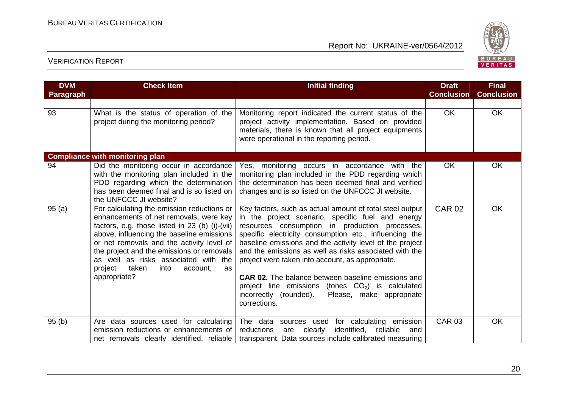

| <b>DVM</b>       | <b>Check Item</b>                                                                                                                                                                                                                                                                                                                                                                   | <b>Initial finding</b>                                                                                                                                                                                                                                                                                                                                                                                                                                                                                                                                                                        | <b>Draft</b><br><b>Conclusion</b> | <b>Final</b><br><b>Conclusion</b> |
|------------------|-------------------------------------------------------------------------------------------------------------------------------------------------------------------------------------------------------------------------------------------------------------------------------------------------------------------------------------------------------------------------------------|-----------------------------------------------------------------------------------------------------------------------------------------------------------------------------------------------------------------------------------------------------------------------------------------------------------------------------------------------------------------------------------------------------------------------------------------------------------------------------------------------------------------------------------------------------------------------------------------------|-----------------------------------|-----------------------------------|
| <b>Paragraph</b> |                                                                                                                                                                                                                                                                                                                                                                                     |                                                                                                                                                                                                                                                                                                                                                                                                                                                                                                                                                                                               |                                   |                                   |
| 93               | What is the status of operation of the<br>project during the monitoring period?                                                                                                                                                                                                                                                                                                     | Monitoring report indicated the current status of the<br>project activity implementation. Based on provided<br>materials, there is known that all project equipments<br>were operational in the reporting period.                                                                                                                                                                                                                                                                                                                                                                             | OK.                               | <b>OK</b>                         |
|                  | <b>Compliance with monitoring plan</b>                                                                                                                                                                                                                                                                                                                                              |                                                                                                                                                                                                                                                                                                                                                                                                                                                                                                                                                                                               |                                   |                                   |
| 94               | Did the monitoring occur in accordance<br>with the monitoring plan included in the<br>PDD regarding which the determination<br>has been deemed final and is so listed on<br>the UNFCCC JI website?                                                                                                                                                                                  | Yes, monitoring occurs in accordance with the<br>monitoring plan included in the PDD regarding which<br>the determination has been deemed final and verified<br>changes and is so listed on the UNFCCC JI website.                                                                                                                                                                                                                                                                                                                                                                            | <b>OK</b>                         | <b>OK</b>                         |
| 95(a)            | For calculating the emission reductions or<br>enhancements of net removals, were key<br>factors, e.g. those listed in 23 (b) (i)-(vii)<br>above, influencing the baseline emissions<br>or net removals and the activity level of<br>the project and the emissions or removals<br>as well as risks associated with the<br>project<br>taken<br>into<br>account,<br>as<br>appropriate? | Key factors, such as actual amount of total steel output<br>in the project scenario, specific fuel and energy<br>resources consumption in production processes,<br>specific electricity consumption etc., influencing the<br>baseline emissions and the activity level of the project<br>and the emissions as well as risks associated with the<br>project were taken into account, as appropriate.<br><b>CAR 02.</b> The balance between baseline emissions and<br>project line emissions (tones $CO2$ ) is calculated<br>incorrectly (rounded).<br>Please, make appropriate<br>corrections. | <b>CAR 02</b>                     | OK                                |
| 95(b)            | Are data sources used for calculating<br>emission reductions or enhancements of<br>net removals clearly identified, reliable                                                                                                                                                                                                                                                        | The data sources used for calculating emission<br>identified,<br>reductions<br>clearly<br>reliable<br>are<br>and<br>transparent. Data sources include calibrated measuring                                                                                                                                                                                                                                                                                                                                                                                                                    | <b>CAR 03</b>                     | <b>OK</b>                         |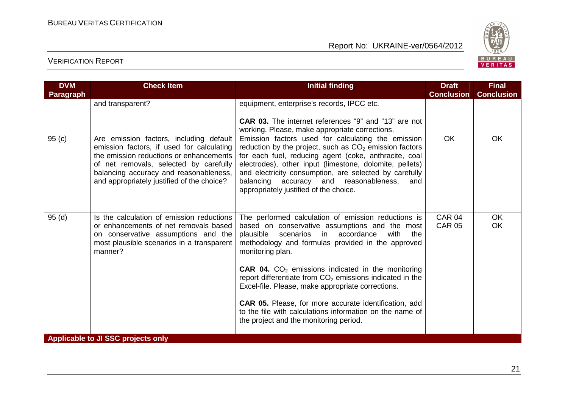

| <b>DVM</b> | <b>Check Item</b>                                                                                                                                                                                                                                                 | <b>Initial finding</b>                                                                                                                                                                                                                                                                                                                                                                  | <b>Draft</b>                   | <b>Final</b>      |
|------------|-------------------------------------------------------------------------------------------------------------------------------------------------------------------------------------------------------------------------------------------------------------------|-----------------------------------------------------------------------------------------------------------------------------------------------------------------------------------------------------------------------------------------------------------------------------------------------------------------------------------------------------------------------------------------|--------------------------------|-------------------|
| Paragraph  |                                                                                                                                                                                                                                                                   |                                                                                                                                                                                                                                                                                                                                                                                         | <b>Conclusion</b>              | <b>Conclusion</b> |
|            | and transparent?                                                                                                                                                                                                                                                  | equipment, enterprise's records, IPCC etc.<br><b>CAR 03.</b> The internet references "9" and "13" are not<br>working. Please, make appropriate corrections.                                                                                                                                                                                                                             |                                |                   |
| 95(c)      | Are emission factors, including default<br>emission factors, if used for calculating<br>the emission reductions or enhancements<br>of net removals, selected by carefully<br>balancing accuracy and reasonableness,<br>and appropriately justified of the choice? | Emission factors used for calculating the emission<br>reduction by the project, such as $CO2$ emission factors<br>for each fuel, reducing agent (coke, anthracite, coal<br>electrodes), other input (limestone, dolomite, pellets)<br>and electricity consumption, are selected by carefully<br>balancing accuracy and reasonableness,<br>and<br>appropriately justified of the choice. | <b>OK</b>                      | <b>OK</b>         |
| 95(d)      | Is the calculation of emission reductions<br>or enhancements of net removals based<br>on conservative assumptions and the<br>most plausible scenarios in a transparent<br>manner?                                                                                 | The performed calculation of emission reductions is<br>based on conservative assumptions and the most<br>plausible scenarios in accordance<br>with<br>the<br>methodology and formulas provided in the approved<br>monitoring plan.<br><b>CAR 04.</b> $CO2$ emissions indicated in the monitoring                                                                                        | <b>CAR 04</b><br><b>CAR 05</b> | <b>OK</b><br>OK   |
|            |                                                                                                                                                                                                                                                                   | report differentiate from $CO2$ emissions indicated in the<br>Excel-file. Please, make appropriate corrections.<br><b>CAR 05.</b> Please, for more accurate identification, add<br>to the file with calculations information on the name of<br>the project and the monitoring period.                                                                                                   |                                |                   |
|            | Applicable to JI SSC projects only                                                                                                                                                                                                                                |                                                                                                                                                                                                                                                                                                                                                                                         |                                |                   |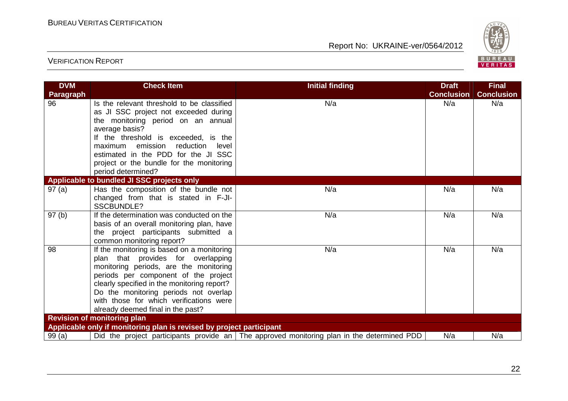

| <b>DVM</b>       | <b>Check Item</b>                                                                                                                                                                                                                                                                                                                          | <b>Initial finding</b>                                                                     | <b>Draft</b>      | <b>Final</b>      |  |  |
|------------------|--------------------------------------------------------------------------------------------------------------------------------------------------------------------------------------------------------------------------------------------------------------------------------------------------------------------------------------------|--------------------------------------------------------------------------------------------|-------------------|-------------------|--|--|
| <b>Paragraph</b> |                                                                                                                                                                                                                                                                                                                                            |                                                                                            | <b>Conclusion</b> | <b>Conclusion</b> |  |  |
| 96               | Is the relevant threshold to be classified<br>as JI SSC project not exceeded during<br>the monitoring period on an annual<br>average basis?<br>If the threshold is exceeded, is the<br>maximum emission<br>reduction<br>level<br>estimated in the PDD for the JI SSC<br>project or the bundle for the monitoring<br>period determined?     | N/a                                                                                        | N/a               | N/a               |  |  |
|                  | Applicable to bundled JI SSC projects only                                                                                                                                                                                                                                                                                                 |                                                                                            |                   |                   |  |  |
| 97(a)            | Has the composition of the bundle not<br>changed from that is stated in F-JI-<br>SSCBUNDLE?                                                                                                                                                                                                                                                | N/a                                                                                        | N/a               | N/a               |  |  |
| 97(b)            | If the determination was conducted on the<br>basis of an overall monitoring plan, have<br>the project participants submitted a<br>common monitoring report?                                                                                                                                                                                | N/a                                                                                        | N/a               | N/a               |  |  |
| 98               | If the monitoring is based on a monitoring<br>plan that provides for overlapping<br>monitoring periods, are the monitoring<br>periods per component of the project<br>clearly specified in the monitoring report?<br>Do the monitoring periods not overlap<br>with those for which verifications were<br>already deemed final in the past? | N/a                                                                                        | N/a               | N/a               |  |  |
|                  | <b>Revision of monitoring plan</b>                                                                                                                                                                                                                                                                                                         |                                                                                            |                   |                   |  |  |
|                  | Applicable only if monitoring plan is revised by project participant                                                                                                                                                                                                                                                                       |                                                                                            |                   |                   |  |  |
| 99(a)            |                                                                                                                                                                                                                                                                                                                                            | Did the project participants provide an The approved monitoring plan in the determined PDD | N/a               | N/a               |  |  |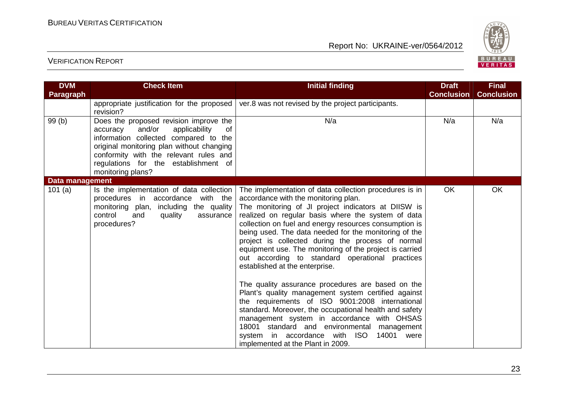

| <b>DVM</b>      | <b>Check Item</b>                                                                                                                                                                                                                                                                | <b>Initial finding</b>                                                                                                                                                                                                                                                                                                                                                                                                                                                                                                                                                                                                                                                                                                                                                                                                                                                                                                                           | <b>Draft</b>      | <b>Final</b>      |
|-----------------|----------------------------------------------------------------------------------------------------------------------------------------------------------------------------------------------------------------------------------------------------------------------------------|--------------------------------------------------------------------------------------------------------------------------------------------------------------------------------------------------------------------------------------------------------------------------------------------------------------------------------------------------------------------------------------------------------------------------------------------------------------------------------------------------------------------------------------------------------------------------------------------------------------------------------------------------------------------------------------------------------------------------------------------------------------------------------------------------------------------------------------------------------------------------------------------------------------------------------------------------|-------------------|-------------------|
| Paragraph       |                                                                                                                                                                                                                                                                                  |                                                                                                                                                                                                                                                                                                                                                                                                                                                                                                                                                                                                                                                                                                                                                                                                                                                                                                                                                  | <b>Conclusion</b> | <b>Conclusion</b> |
|                 | appropriate justification for the proposed<br>revision?                                                                                                                                                                                                                          | ver.8 was not revised by the project participants.                                                                                                                                                                                                                                                                                                                                                                                                                                                                                                                                                                                                                                                                                                                                                                                                                                                                                               |                   |                   |
| 99 (b)          | Does the proposed revision improve the<br>and/or<br>applicability<br>accuracy<br>of<br>information collected compared to the<br>original monitoring plan without changing<br>conformity with the relevant rules and<br>regulations for the establishment of<br>monitoring plans? | N/a                                                                                                                                                                                                                                                                                                                                                                                                                                                                                                                                                                                                                                                                                                                                                                                                                                                                                                                                              | N/a               | N/a               |
| Data management |                                                                                                                                                                                                                                                                                  |                                                                                                                                                                                                                                                                                                                                                                                                                                                                                                                                                                                                                                                                                                                                                                                                                                                                                                                                                  |                   |                   |
| 101(a)          | Is the implementation of data collection<br>procedures in accordance with the<br>monitoring plan, including the quality<br>control<br>quality<br>and<br>assurance<br>procedures?                                                                                                 | The implementation of data collection procedures is in<br>accordance with the monitoring plan.<br>The monitoring of JI project indicators at DIISW is<br>realized on regular basis where the system of data<br>collection on fuel and energy resources consumption is<br>being used. The data needed for the monitoring of the<br>project is collected during the process of normal<br>equipment use. The monitoring of the project is carried<br>out according to standard operational practices<br>established at the enterprise.<br>The quality assurance procedures are based on the<br>Plant's quality management system certified against<br>the requirements of ISO 9001:2008 international<br>standard. Moreover, the occupational health and safety<br>management system in accordance with OHSAS<br>18001<br>standard and environmental management<br>system in accordance with ISO<br>14001 were<br>implemented at the Plant in 2009. | <b>OK</b>         | <b>OK</b>         |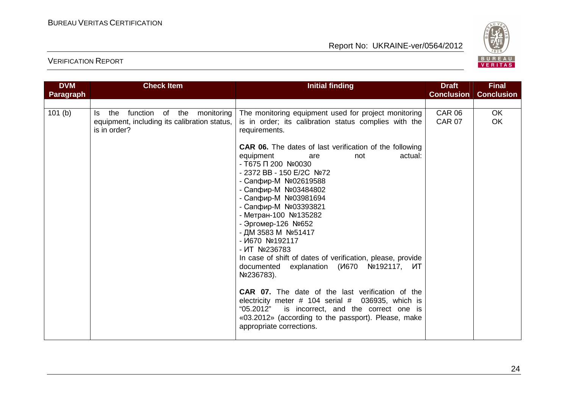

| <b>DVM</b> | <b>Check Item</b>                                                                                        | <b>Initial finding</b>                                                                                                                                                                                                                                                                                                                                                                                                                                                                                                                                                                                                                                                                                                                                                                                                                                                                             | <b>Draft</b>                   | <b>Final</b>           |
|------------|----------------------------------------------------------------------------------------------------------|----------------------------------------------------------------------------------------------------------------------------------------------------------------------------------------------------------------------------------------------------------------------------------------------------------------------------------------------------------------------------------------------------------------------------------------------------------------------------------------------------------------------------------------------------------------------------------------------------------------------------------------------------------------------------------------------------------------------------------------------------------------------------------------------------------------------------------------------------------------------------------------------------|--------------------------------|------------------------|
| Paragraph  |                                                                                                          |                                                                                                                                                                                                                                                                                                                                                                                                                                                                                                                                                                                                                                                                                                                                                                                                                                                                                                    | <b>Conclusion</b>              | <b>Conclusion</b>      |
|            |                                                                                                          |                                                                                                                                                                                                                                                                                                                                                                                                                                                                                                                                                                                                                                                                                                                                                                                                                                                                                                    |                                |                        |
| 101(b)     | function of the monitoring<br>the<br>ls.<br>equipment, including its calibration status,<br>is in order? | The monitoring equipment used for project monitoring<br>is in order; its calibration status complies with the<br>requirements.<br><b>CAR 06.</b> The dates of last verification of the following<br>equipment<br>actual:<br>not<br>are<br>- T675 Π 200 Nº0030<br>- 2372 BB - 150 E/2C Nº72<br>- Сапфир-М №02619588<br>- Сапфир-М №03484802<br>- Сапфир-М №03981694<br>- Сапфир-М №03393821<br>- Метран-100 №135282<br>- Эргомер-126 №652<br>- ДМ 3583 М №51417<br>$ M670$ No 192117<br>$-MT$ No 236783<br>In case of shift of dates of verification, please, provide<br>documented explanation (V670<br>Nº192117, <b>ИТ</b><br>Nº236783).<br><b>CAR 07.</b> The date of the last verification of the<br>electricity meter $#$ 104 serial $#$ 036935, which is<br>"05.2012" is incorrect, and the correct one is<br>«03.2012» (according to the passport). Please, make<br>appropriate corrections. | <b>CAR 06</b><br><b>CAR 07</b> | <b>OK</b><br><b>OK</b> |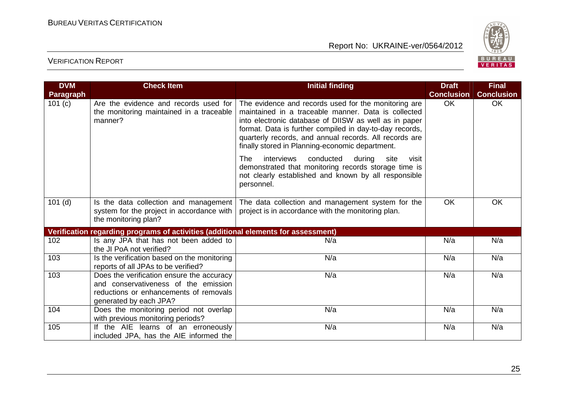

| <b>DVM</b>       | <b>Check Item</b>                                                                                                                                     | <b>Initial finding</b>                                                                                                                                                                                                                                                                                                                       | <b>Draft</b>      | <b>Final</b>      |
|------------------|-------------------------------------------------------------------------------------------------------------------------------------------------------|----------------------------------------------------------------------------------------------------------------------------------------------------------------------------------------------------------------------------------------------------------------------------------------------------------------------------------------------|-------------------|-------------------|
| <b>Paragraph</b> |                                                                                                                                                       |                                                                                                                                                                                                                                                                                                                                              | <b>Conclusion</b> | <b>Conclusion</b> |
| 101 $(c)$        | Are the evidence and records used for<br>the monitoring maintained in a traceable<br>manner?                                                          | The evidence and records used for the monitoring are<br>maintained in a traceable manner. Data is collected<br>into electronic database of DIISW as well as in paper<br>format. Data is further compiled in day-to-day records,<br>quarterly records, and annual records. All records are<br>finally stored in Planning-economic department. | <b>OK</b>         | <b>OK</b>         |
|                  |                                                                                                                                                       | interviews<br>conducted<br>The<br>during<br>site<br>visit<br>demonstrated that monitoring records storage time is<br>not clearly established and known by all responsible<br>personnel.                                                                                                                                                      |                   |                   |
| $101$ (d)        | Is the data collection and management<br>system for the project in accordance with<br>the monitoring plan?                                            | The data collection and management system for the<br>project is in accordance with the monitoring plan.                                                                                                                                                                                                                                      | <b>OK</b>         | OK                |
|                  | Verification regarding programs of activities (additional elements for assessment)                                                                    |                                                                                                                                                                                                                                                                                                                                              |                   |                   |
| 102              | Is any JPA that has not been added to<br>the JI PoA not verified?                                                                                     | N/a                                                                                                                                                                                                                                                                                                                                          | N/a               | N/a               |
| 103              | Is the verification based on the monitoring<br>reports of all JPAs to be verified?                                                                    | N/a                                                                                                                                                                                                                                                                                                                                          | N/a               | N/a               |
| 103              | Does the verification ensure the accuracy<br>and conservativeness of the emission<br>reductions or enhancements of removals<br>generated by each JPA? | N/a                                                                                                                                                                                                                                                                                                                                          | N/a               | N/a               |
| 104              | Does the monitoring period not overlap<br>with previous monitoring periods?                                                                           | N/a                                                                                                                                                                                                                                                                                                                                          | N/a               | N/a               |
| 105              | If the AIE learns of an erroneously<br>included JPA, has the AIE informed the                                                                         | N/a                                                                                                                                                                                                                                                                                                                                          | N/a               | N/a               |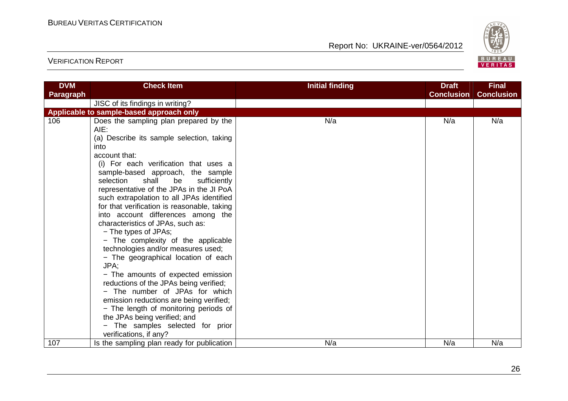

| <b>DVM</b> | <b>Check Item</b>                                                                                                                                                                                                                                                                                                                                                                                                                                                                                                                                                                                                                                                                                                                                                                                                                                                                                 | <b>Initial finding</b> | <b>Draft</b>      | <b>Final</b>      |
|------------|---------------------------------------------------------------------------------------------------------------------------------------------------------------------------------------------------------------------------------------------------------------------------------------------------------------------------------------------------------------------------------------------------------------------------------------------------------------------------------------------------------------------------------------------------------------------------------------------------------------------------------------------------------------------------------------------------------------------------------------------------------------------------------------------------------------------------------------------------------------------------------------------------|------------------------|-------------------|-------------------|
| Paragraph  |                                                                                                                                                                                                                                                                                                                                                                                                                                                                                                                                                                                                                                                                                                                                                                                                                                                                                                   |                        | <b>Conclusion</b> | <b>Conclusion</b> |
|            | JISC of its findings in writing?                                                                                                                                                                                                                                                                                                                                                                                                                                                                                                                                                                                                                                                                                                                                                                                                                                                                  |                        |                   |                   |
|            | Applicable to sample-based approach only                                                                                                                                                                                                                                                                                                                                                                                                                                                                                                                                                                                                                                                                                                                                                                                                                                                          |                        |                   |                   |
| 106        | Does the sampling plan prepared by the<br>AIE:<br>(a) Describe its sample selection, taking<br>into<br>account that:<br>(i) For each verification that uses a<br>sample-based approach, the sample<br>selection<br>shall<br>be<br>sufficiently<br>representative of the JPAs in the JI PoA<br>such extrapolation to all JPAs identified<br>for that verification is reasonable, taking<br>into account differences among the<br>characteristics of JPAs, such as:<br>- The types of JPAs;<br>- The complexity of the applicable<br>technologies and/or measures used;<br>- The geographical location of each<br>JPA;<br>- The amounts of expected emission<br>reductions of the JPAs being verified;<br>- The number of JPAs for which<br>emission reductions are being verified;<br>- The length of monitoring periods of<br>the JPAs being verified; and<br>The samples selected for prior<br>- | N/a                    | N/a               | N/a               |
|            | verifications, if any?                                                                                                                                                                                                                                                                                                                                                                                                                                                                                                                                                                                                                                                                                                                                                                                                                                                                            |                        |                   |                   |
| 107        | Is the sampling plan ready for publication                                                                                                                                                                                                                                                                                                                                                                                                                                                                                                                                                                                                                                                                                                                                                                                                                                                        | N/a                    | N/a               | N/a               |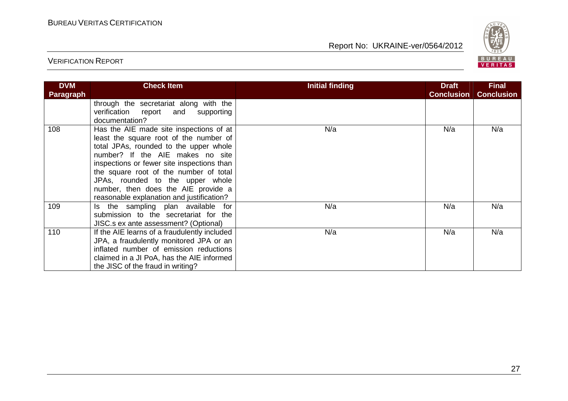

| <b>DVM</b><br>Paragraph | <b>Check Item</b>                                                                                                                                                                                                                                                                                                                                                               | Initial finding | <b>Draft</b><br><b>Conclusion</b> | <b>Final</b><br><b>Conclusion</b> |
|-------------------------|---------------------------------------------------------------------------------------------------------------------------------------------------------------------------------------------------------------------------------------------------------------------------------------------------------------------------------------------------------------------------------|-----------------|-----------------------------------|-----------------------------------|
|                         | through the secretariat along with the<br>verification report and supporting<br>documentation?                                                                                                                                                                                                                                                                                  |                 |                                   |                                   |
| 108                     | Has the AIE made site inspections of at<br>least the square root of the number of<br>total JPAs, rounded to the upper whole<br>number? If the AIE makes no site<br>inspections or fewer site inspections than<br>the square root of the number of total<br>JPAs, rounded to the upper whole<br>number, then does the AIE provide a<br>reasonable explanation and justification? | N/a             | N/a                               | N/a                               |
| 109                     | Is the sampling plan available for<br>submission to the secretariat for the<br>JISC.s ex ante assessment? (Optional)                                                                                                                                                                                                                                                            | N/a             | N/a                               | N/a                               |
| 110                     | If the AIE learns of a fraudulently included<br>JPA, a fraudulently monitored JPA or an<br>inflated number of emission reductions<br>claimed in a JI PoA, has the AIE informed<br>the JISC of the fraud in writing?                                                                                                                                                             | N/a             | N/a                               | N/a                               |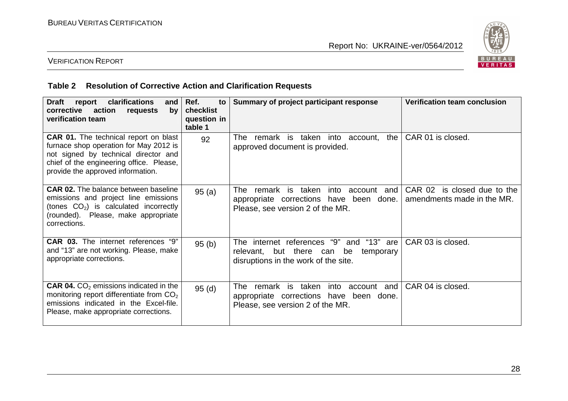

#### VERIFICATION REPORT

#### **Table 2 Resolution of Corrective Action and Clarification Requests**

| clarifications<br><b>Draft</b><br>report<br>and<br>corrective<br>action requests<br>by<br>verification team                                                                                                     | Ref.<br>to<br>checklist<br>question in<br>table 1 | Summary of project participant response                                                                                          | <b>Verification team conclusion</b>                       |
|-----------------------------------------------------------------------------------------------------------------------------------------------------------------------------------------------------------------|---------------------------------------------------|----------------------------------------------------------------------------------------------------------------------------------|-----------------------------------------------------------|
| <b>CAR 01.</b> The technical report on blast<br>furnace shop operation for May 2012 is<br>not signed by technical director and<br>chief of the engineering office. Please,<br>provide the approved information. | 92                                                | remark is taken into account,<br>the<br>The l<br>approved document is provided.                                                  | CAR 01 is closed.                                         |
| <b>CAR 02.</b> The balance between baseline<br>emissions and project line emissions<br>(tones $CO2$ ) is calculated incorrectly<br>(rounded). Please, make appropriate<br>corrections.                          | 95(a)                                             | remark is taken<br>into<br>The<br>account and<br>appropriate corrections have been done.<br>Please, see version 2 of the MR.     | CAR 02 is closed due to the<br>amendments made in the MR. |
| <b>CAR 03.</b> The internet references "9"<br>and "13" are not working. Please, make<br>appropriate corrections.                                                                                                | 95(b)                                             | internet references "9" and "13" are<br>The l<br>relevant, but there can be<br>temporary<br>disruptions in the work of the site. | CAR 03 is closed.                                         |
| <b>CAR 04.</b> $CO2$ emissions indicated in the<br>monitoring report differentiate from $CO2$<br>emissions indicated in the Excel-file.<br>Please, make appropriate corrections.                                | 95(d)                                             | remark is taken<br>into<br>account<br>and<br>The<br>appropriate corrections have been done.<br>Please, see version 2 of the MR.  | CAR 04 is closed.                                         |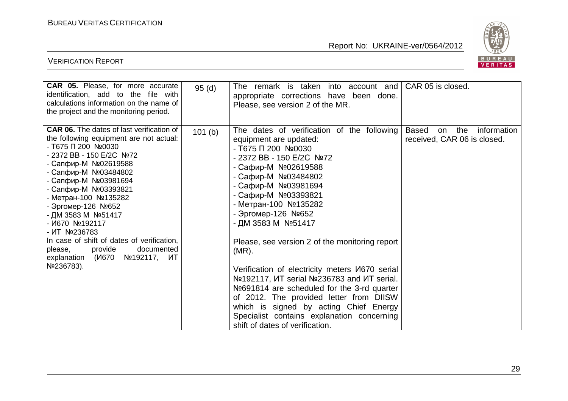

| <b>CAR 05.</b> Please, for more accurate<br>identification, add to the file with<br>calculations information on the name of<br>the project and the monitoring period.                                                                                                                                                                                                                                                                                                                         | 95(d)  | remark is taken into account and<br>The<br>appropriate corrections have been done.<br>Please, see version 2 of the MR.                                                                                                                                                                                                                                                                                                                                                                                                                                                                                                                                                                               | CAR 05 is closed.                                                       |
|-----------------------------------------------------------------------------------------------------------------------------------------------------------------------------------------------------------------------------------------------------------------------------------------------------------------------------------------------------------------------------------------------------------------------------------------------------------------------------------------------|--------|------------------------------------------------------------------------------------------------------------------------------------------------------------------------------------------------------------------------------------------------------------------------------------------------------------------------------------------------------------------------------------------------------------------------------------------------------------------------------------------------------------------------------------------------------------------------------------------------------------------------------------------------------------------------------------------------------|-------------------------------------------------------------------------|
| <b>CAR 06.</b> The dates of last verification of<br>the following equipment are not actual:<br>- T675 Π 200 Nº0030<br>- 2372 BB - 150 E/2C Nº72<br>- Сапфир-М №02619588<br>- Сапфир-М №03484802<br>- Сапфир-М №03981694<br>- Сапфир-М №03393821<br>- Метран-100 №135282<br>- Эргомер-126 №652<br>- ДМ 3583 М №51417<br>$- M670 N2192117$<br>- ИТ №236783<br>In case of shift of dates of verification,<br>provide<br>documented<br>please,<br>explanation (V670<br>Nº192117, ИТ<br>Nº236783). | 101(b) | The dates of verification of the following<br>equipment are updated:<br>$-$ T675 $\Pi$ 200 Nº0030<br>- 2372 BB - 150 E/2C Nº72<br>- Сафир-М №02619588<br>- Сафир-М №03484802<br>- Сафир-М №03981694<br>- Сафир-М №03393821<br>- Метран-100 №135282<br>- Эргомер-126 №652<br>- ДМ 3583 М №51417<br>Please, see version 2 of the monitoring report<br>$(MR)$ .<br>Verification of electricity meters <i>V</i> 670 serial<br>Notelliang. MT serial Notellian 236783 and MT serial.<br>Nº691814 are scheduled for the 3-rd quarter<br>of 2012. The provided letter from DIISW<br>which is signed by acting Chief Energy<br>Specialist contains explanation concerning<br>shift of dates of verification. | the<br>information<br><b>Based</b><br>on<br>received, CAR 06 is closed. |